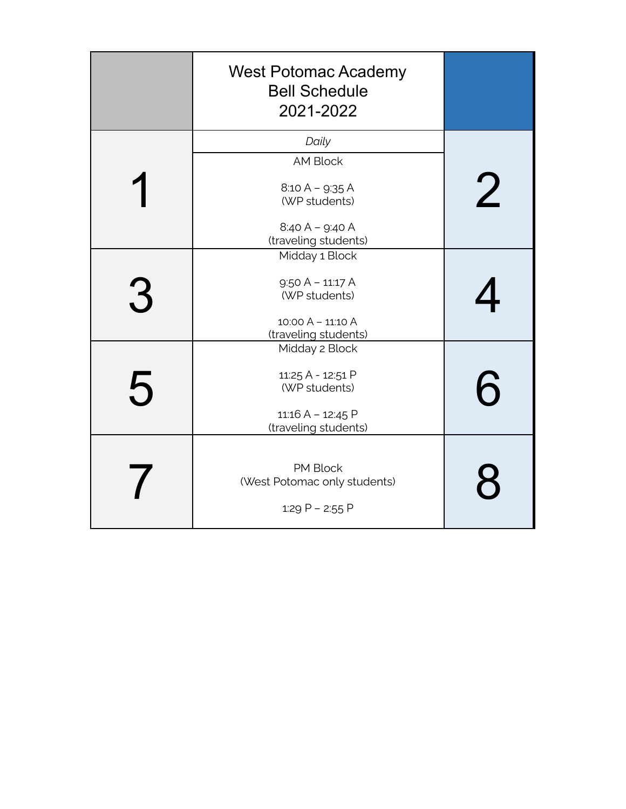|   | <b>West Potomac Academy</b><br><b>Bell Schedule</b><br>2021-2022 |   |
|---|------------------------------------------------------------------|---|
|   | Daily                                                            |   |
|   | <b>AM Block</b>                                                  |   |
|   | $8:10 A - 9:35 A$<br>(WP students)                               | 2 |
|   | $8:40 A - 9:40 A$<br>(traveling students)                        |   |
|   | Midday 1 Block                                                   |   |
|   | $9:50 A - 11:17 A$                                               |   |
| 3 | (WP students)                                                    |   |
|   | 10:00 A - 11:10 A<br>(traveling students)                        |   |
|   | Midday 2 Block                                                   |   |
| 5 | 11:25 A - 12:51 P<br>(WP students)                               | 6 |
|   | 11:16 A - 12:45 P<br>(traveling students)                        |   |
|   | PM Block<br>(West Potomac only students)<br>1:29 P - 2:55 P      |   |